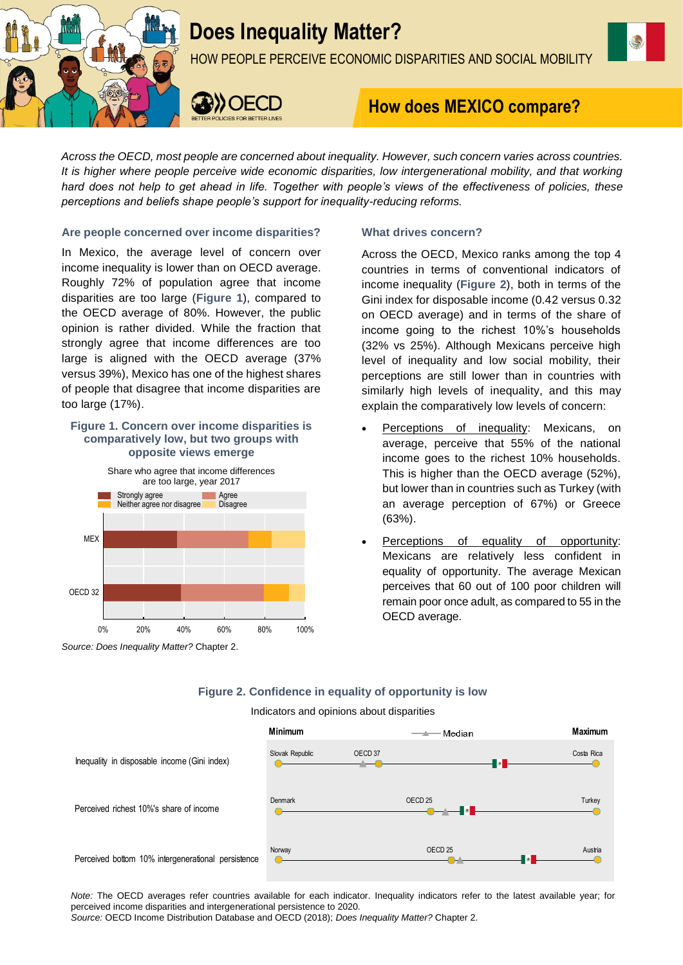

# **Does Inequality Matter?**

HOW PEOPLE PERCEIVE ECONOMIC DISPARITIES AND SOCIAL MOBILITY



## **How does MEXICO compare?**

*Across the OECD, most people are concerned about inequality. However, such concern varies across countries. It is higher where people perceive wide economic disparities, low intergenerational mobility, and that working hard does not help to get ahead in life. Together with people's views of the effectiveness of policies, these perceptions and beliefs shape people's support for inequality-reducing reforms.*

## **Are people concerned over income disparities?**

In Mexico, the average level of concern over income inequality is lower than on OECD average. Roughly 72% of population agree that income disparities are too large (**Figure 1**), compared to the OECD average of 80%. However, the public opinion is rather divided. While the fraction that strongly agree that income differences are too large is aligned with the OECD average (37% versus 39%), Mexico has one of the highest shares of people that disagree that income disparities are too large (17%).

## **Figure 1. Concern over income disparities is comparatively low, but two groups with opposite views emerge**



## *Source: Does Inequality Matter?* Chapter 2.

## **What drives concern?**

Across the OECD, Mexico ranks among the top 4 countries in terms of conventional indicators of income inequality (**Figure 2**), both in terms of the Gini index for disposable income (0.42 versus 0.32 on OECD average) and in terms of the share of income going to the richest 10%'s households (32% vs 25%). Although Mexicans perceive high level of inequality and low social mobility, their perceptions are still lower than in countries with similarly high levels of inequality, and this may explain the comparatively low levels of concern:

- Perceptions of inequality: Mexicans, on average, perceive that 55% of the national income goes to the richest 10% households. This is higher than the OECD average (52%), but lower than in countries such as Turkey (with an average perception of 67%) or Greece (63%).
- Perceptions of equality of opportunity: Mexicans are relatively less confident in equality of opportunity. The average Mexican perceives that 60 out of 100 poor children will remain poor once adult, as compared to 55 in the OECD average.

## **Figure 2. Confidence in equality of opportunity is low**

Indicators and opinions about disparities



*Note:* The OECD averages refer countries available for each indicator. Inequality indicators refer to the latest available year; for perceived income disparities and intergenerational persistence to 2020.

*Source:* OECD Income Distribution Database and OECD (2018); *Does Inequality Matter?* Chapter 2.